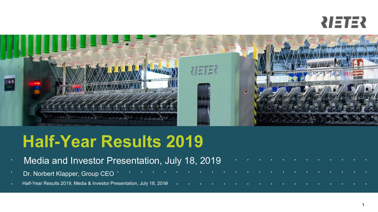



# **Half-Year Results 2019**

- **Media and Investor Presentation, July 18, 2019** Form and the sensing the sensing of . . . . . . . . . . . . . . . . . . . . . . . . . . . . . . . Dr. Norbert Klapper, Group CEO
- 
- encemant Pressults 2019, Media & Investor Presentation, July 18, 2019 **and the content of the content of the content of the content of the content of the content of the content of the content of the content of the content**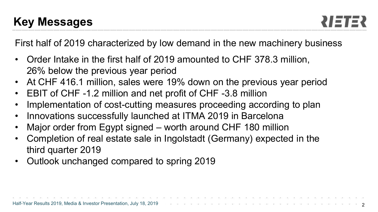First half of 2019 characterized by low demand in the new machinery business

- Order Intake in the first half of 2019 amounted to CHF 378.3 million, 26% below the previous year period
- At CHF 416.1 million, sales were 19% down on the previous year period
- EBIT of CHF -1.2 million and net profit of CHF -3.8 million
- Implementation of cost-cutting measures proceeding according to plan
- Innovations successfully launched at ITMA 2019 in Barcelona
- Major order from Egypt signed worth around CHF 180 million
- Completion of real estate sale in Ingolstadt (Germany) expected in the third quarter 2019
- Outlook unchanged compared to spring 2019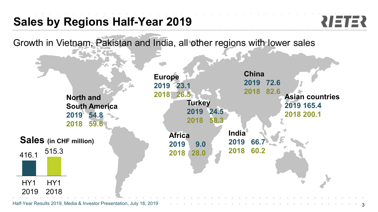## **Sales by Regions Half-Year 2019**



Growth in Vietnam, Pakistan and India, all other regions with lower sales

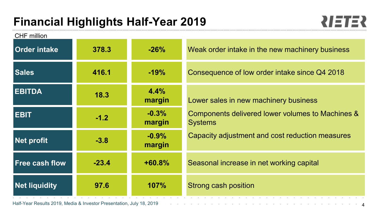## **Financial Highlights Half-Year 2019**



| CHF million<br><b>Order intake</b> | 378.3   | $-26%$            | Weak order intake in the new machinery business                    |
|------------------------------------|---------|-------------------|--------------------------------------------------------------------|
| <b>Sales</b>                       | 416.1   | $-19%$            | Consequence of low order intake since Q4 2018                      |
| <b>EBITDA</b>                      | 18.3    | 4.4%<br>margin    | Lower sales in new machinery business                              |
| <b>EBIT</b>                        | $-1.2$  | $-0.3%$<br>margin | Components delivered lower volumes to Machines &<br><b>Systems</b> |
| <b>Net profit</b>                  | $-3.8$  | $-0.9%$<br>margin | Capacity adjustment and cost reduction measures                    |
| <b>Free cash flow</b>              | $-23.4$ | $+60.8%$          | Seasonal increase in net working capital                           |
| <b>Net liquidity</b>               | 97.6    | 107%              | Strong cash position                                               |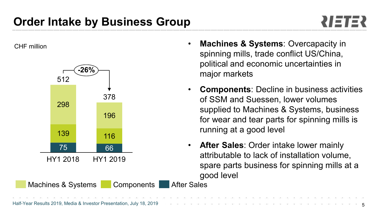## **Order Intake by Business Group**

CHF million



- **Machines & Systems**: Overcapacity in spinning mills, trade conflict US/China, political and economic uncertainties in major markets
- **Components**: Decline in business activities of SSM and Suessen, lower volumes supplied to Machines & Systems, business for wear and tear parts for spinning mills is running at a good level
- **After Sales**: Order intake lower mainly attributable to lack of installation volume, spare parts business for spinning mills at a good level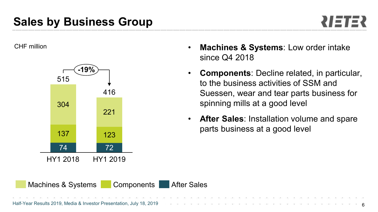### **Sales by Business Group**



CHF million



- **Machines & Systems**: Low order intake since Q4 2018
- **Components**: Decline related, in particular, to the business activities of SSM and Suessen, wear and tear parts business for spinning mills at a good level
- **After Sales**: Installation volume and spare parts business at a good level

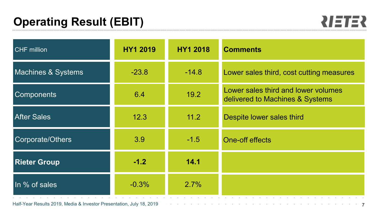

| <b>CHF</b> million            | <b>HY1 2019</b> | <b>HY1 2018</b> | <b>Comments</b>                                                                                      |  |  |  |  |  |  |  |
|-------------------------------|-----------------|-----------------|------------------------------------------------------------------------------------------------------|--|--|--|--|--|--|--|
| <b>Machines &amp; Systems</b> | $-23.8$         | $-14.8$         | Lower sales third, cost cutting measures                                                             |  |  |  |  |  |  |  |
| <b>Components</b>             | 6.4             | 19.2            | Lower sales third and lower volumes<br>delivered to Machines & Systems                               |  |  |  |  |  |  |  |
| <b>After Sales</b>            | 12.3            | 11.2            | Despite lower sales third                                                                            |  |  |  |  |  |  |  |
| Corporate/Others              | 3.9             | $-1.5$          | One-off effects                                                                                      |  |  |  |  |  |  |  |
| <b>Rieter Group</b>           | $-1.2$          | 14.1            |                                                                                                      |  |  |  |  |  |  |  |
| In % of sales                 | $-0.3%$         | 2.7%            | 2011 - 102 - 2012 - 2022 - 2022 - 2022 - 2022 - 2022 - 2022 - 2022 - 2022 - 2022 - 2022 - 2022 - 202 |  |  |  |  |  |  |  |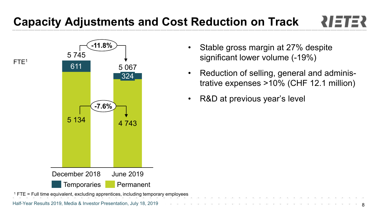# **Capacity Adjustments and Cost Reduction on Track**



- Stable gross margin at 27% despite significant lower volume (-19%)
- Reduction of selling, general and administrative expenses >10% (CHF 12.1 million)

8

• R&D at previous year's level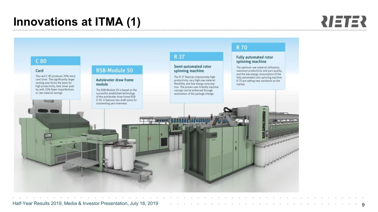### **Innovations at ITMA (1)**



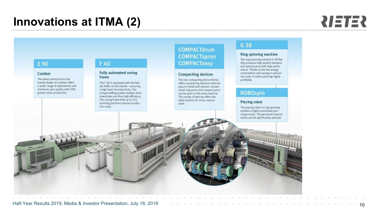#### **Innovations at ITMA (2)**

#### **RIETER**

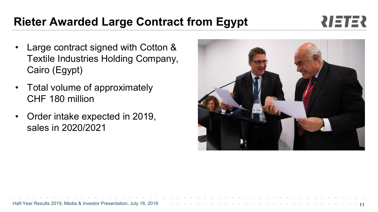#### Textile Industries Holding Company, Cairo (Egypt)

Large contract signed with Cotton &

- Total volume of approximately CHF 180 million
- Order intake expected in 2019, sales in 2020/2021

#### **Rieter Awarded Large Contract from Egypt**



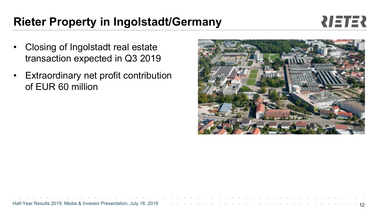#### • Closing of Ingolstadt real estate transaction expected in Q3 2019

• Extraordinary net profit contribution of EUR 60 million

### **Rieter Property in Ingolstadt/Germany**

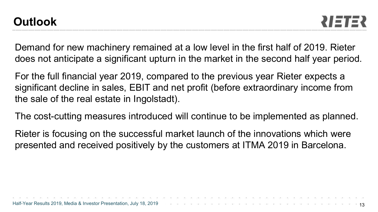Demand for new machinery remained at a low level in the first half of 2019. Rieter does not anticipate a significant upturn in the market in the second half year period.

For the full financial year 2019, compared to the previous year Rieter expects a significant decline in sales, EBIT and net profit (before extraordinary income from the sale of the real estate in Ingolstadt).

The cost-cutting measures introduced will continue to be implemented as planned.

Rieter is focusing on the successful market launch of the innovations which were presented and received positively by the customers at ITMA 2019 in Barcelona.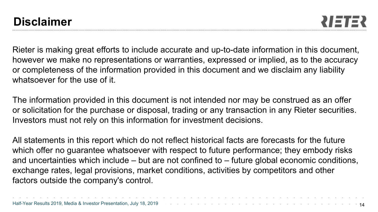Rieter is making great efforts to include accurate and up-to-date information in this document, however we make no representations or warranties, expressed or implied, as to the accuracy or completeness of the information provided in this document and we disclaim any liability whatsoever for the use of it.

The information provided in this document is not intended nor may be construed as an offer or solicitation for the purchase or disposal, trading or any transaction in any Rieter securities. Investors must not rely on this information for investment decisions.

All statements in this report which do not reflect historical facts are forecasts for the future which offer no guarantee whatsoever with respect to future performance; they embody risks and uncertainties which include – but are not confined to – future global economic conditions, exchange rates, legal provisions, market conditions, activities by competitors and other factors outside the company's control.

| Half-Year Results 2019, Media & Investor Presentation, July 18, 2019 |  |  |  |  |  |  |  |  |  |  |  |
|----------------------------------------------------------------------|--|--|--|--|--|--|--|--|--|--|--|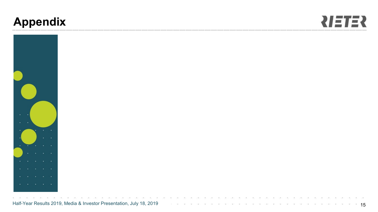### **Appendix**





Half-Year Results 2019, Media & Investor Presentation, July 18, 2019 **19 and 19 and 19 and 19 and 19 and 19 and 1**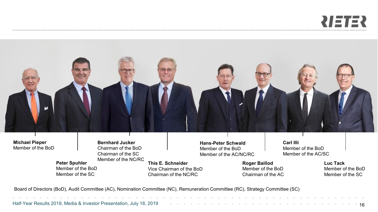# 



**Michael Pieper** Member of the BoD **Bernhard Jucker** Chairman of the BoD Chairman of the SC Member of the NC/RC

**Peter Spuhler** Member of the BoD Member of the SC

**This E. Schneider**

Vice Chairman of the BoD Chairman of the NC/RC

**Hans-Peter Schwald**  Member of the BoD Member of the AC/NC/RC

> **Roger Baillod** Member of the BoD Chairman of the AC

**Carl Illi** Member of the BoD Member of the AC/SC

> **Luc Tack** Member of the BoD Member of the SC

Board of Directors (BoD), Audit Committee (AC), Nomination Committee (NC), Remuneration Committee (RC), Strategy Committee (SC)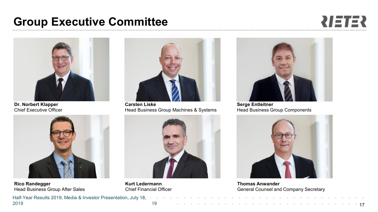#### **Group Executive Committee**





**Dr. Norbert Klapper** Chief Executive Officer



**Rico Randegger** Head Business Group After Sales



**Carsten Liske** Head Business Group Machines & Systems



**Kurt Ledermann** Chief Financial Officer



**Serge Entleitner** Head Business Group Components



**Thomas Anwander** General Counsel and Company Secretary

 $\sim$  2019, Media  $\sim$  Media  $\sim$  Investor Presentation, July 19, 2019,  $\sim$ Half-Year Results 2019, Media & Investor Presentation, July 18, 2019 17